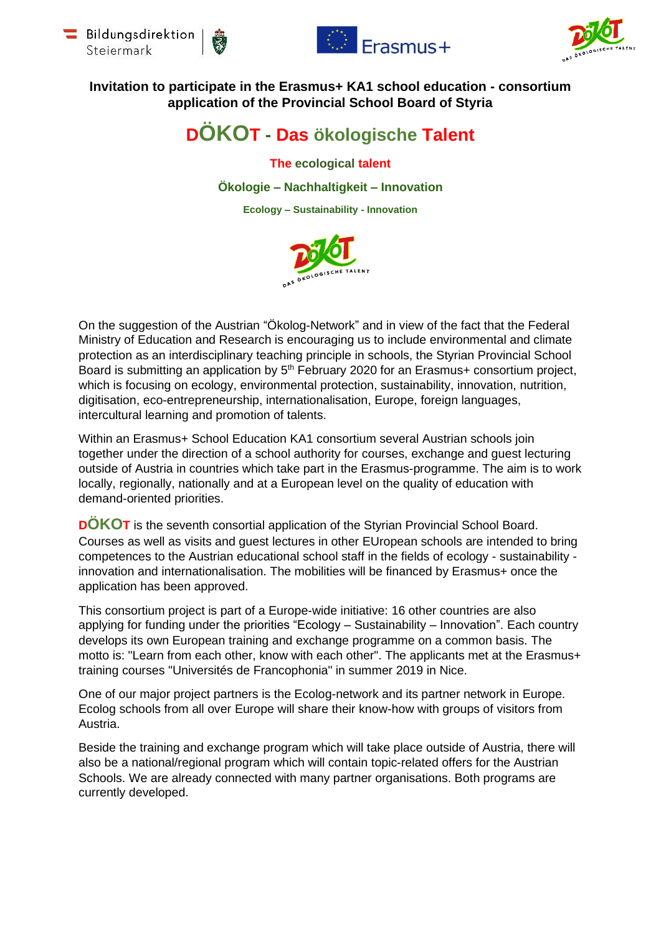







## **Invitation to participate in the Erasmus+ KA1 school education - consortium application of the Provincial School Board of Styria**

# **DÖKOT - Das ökologische Talent**

**The ecological talent**

**Ökologie – Nachhaltigkeit – Innovation**

**Ecology – Sustainability - Innovation**



On the suggestion of the Austrian "Ökolog-Network" and in view of the fact that the Federal Ministry of Education and Research is encouraging us to include environmental and climate protection as an interdisciplinary teaching principle in schools, the Styrian Provincial School Board is submitting an application by 5<sup>th</sup> February 2020 for an Erasmus+ consortium project, which is focusing on ecology, environmental protection, sustainability, innovation, nutrition, digitisation, eco-entrepreneurship, internationalisation, Europe, foreign languages, intercultural learning and promotion of talents.

Within an Erasmus+ School Education KA1 consortium several Austrian schools join together under the direction of a school authority for courses, exchange and guest lecturing outside of Austria in countries which take part in the Erasmus-programme. The aim is to work locally, regionally, nationally and at a European level on the quality of education with demand-oriented priorities.

**DOKOT** is the seventh consortial application of the Styrian Provincial School Board. Courses as well as visits and guest lectures in other EUropean schools are intended to bring competences to the Austrian educational school staff in the fields of ecology - sustainability innovation and internationalisation. The mobilities will be financed by Erasmus+ once the application has been approved.

This consortium project is part of a Europe-wide initiative: 16 other countries are also applying for funding under the priorities "Ecology – Sustainability – Innovation". Each country develops its own European training and exchange programme on a common basis. The motto is: "Learn from each other, know with each other". The applicants met at the Erasmus+ training courses "Universités de Francophonia" in summer 2019 in Nice.

One of our major project partners is the Ecolog-network and its partner network in Europe. Ecolog schools from all over Europe will share their know-how with groups of visitors from Austria.

Beside the training and exchange program which will take place outside of Austria, there will also be a national/regional program which will contain topic-related offers for the Austrian Schools. We are already connected with many partner organisations. Both programs are currently developed.